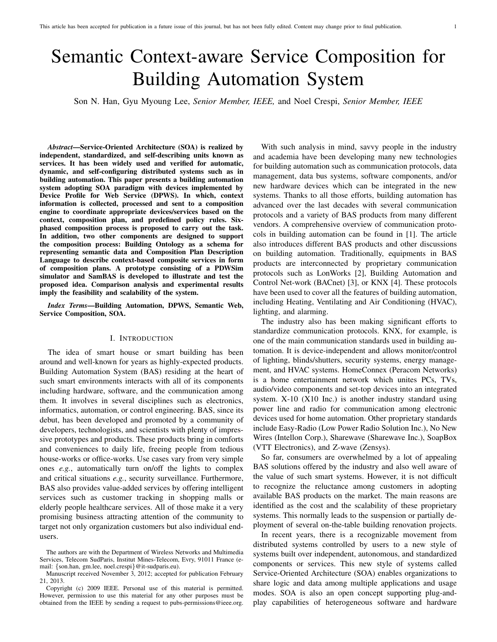# Semantic Context-aware Service Composition for Building Automation System

Son N. Han, Gyu Myoung Lee, *Senior Member, IEEE,* and Noel Crespi, *Senior Member, IEEE*

*Abstract*—Service-Oriented Architecture (SOA) is realized by independent, standardized, and self-describing units known as services. It has been widely used and verified for automatic, dynamic, and self-configuring distributed systems such as in building automation. This paper presents a building automation system adopting SOA paradigm with devices implemented by Device Profile for Web Service (DPWS). In which, context information is collected, processed and sent to a composition engine to coordinate appropriate devices/services based on the context, composition plan, and predefined policy rules. Sixphased composition process is proposed to carry out the task. In addition, two other components are designed to support the composition process: Building Ontology as a schema for representing semantic data and Composition Plan Description Language to describe context-based composite services in form of composition plans. A prototype consisting of a PDWSim simulator and SamBAS is developed to illustrate and test the proposed idea. Comparison analysis and experimental results imply the feasibility and scalability of the system.

*Index Terms*—Building Automation, DPWS, Semantic Web, Service Composition, SOA.

## I. INTRODUCTION

The idea of smart house or smart building has been around and well-known for years as highly-expected products. Building Automation System (BAS) residing at the heart of such smart environments interacts with all of its components including hardware, software, and the communication among them. It involves in several disciplines such as electronics, informatics, automation, or control engineering. BAS, since its debut, has been developed and promoted by a community of developers, technologists, and scientists with plenty of impressive prototypes and products. These products bring in comforts and conveniences to daily life, freeing people from tedious house-works or office-works. Use cases vary from very simple ones *e.g.*, automatically turn on/off the lights to complex and critical situations *e.g.*, security surveillance. Furthermore, BAS also provides value-added services by offering intelligent services such as customer tracking in shopping malls or elderly people healthcare services. All of those make it a very promising business attracting attention of the community to target not only organization customers but also individual endusers.

With such analysis in mind, savvy people in the industry and academia have been developing many new technologies for building automation such as communication protocols, data management, data bus systems, software components, and/or new hardware devices which can be integrated in the new systems. Thanks to all those efforts, building automation has advanced over the last decades with several communication protocols and a variety of BAS products from many different vendors. A comprehensive overview of communication protocols in building automation can be found in [1]. The article also introduces different BAS products and other discussions on building automation. Traditionally, equipments in BAS products are interconnected by proprietary communication protocols such as LonWorks [2], Building Automation and Control Net-work (BACnet) [3], or KNX [4]. These protocols have been used to cover all the features of building automation, including Heating, Ventilating and Air Conditioning (HVAC), lighting, and alarming.

The industry also has been making significant efforts to standardize communication protocols. KNX, for example, is one of the main communication standards used in building automation. It is device-independent and allows monitor/control of lighting, blinds/shutters, security systems, energy management, and HVAC systems. HomeConnex (Peracom Networks) is a home entertainment network which unites PCs, TVs, audio/video components and set-top devices into an integrated system. X-10 (X10 Inc.) is another industry standard using power line and radio for communication among electronic devices used for home automation. Other proprietary standards include Easy-Radio (Low Power Radio Solution Inc.), No New Wires (Intellon Corp.), Sharewave (Sharewave Inc.), SoapBox (VTT Electronics), and Z-wave (Zensys).

So far, consumers are overwhelmed by a lot of appealing BAS solutions offered by the industry and also well aware of the value of such smart systems. However, it is not difficult to recognize the reluctance among customers in adopting available BAS products on the market. The main reasons are identified as the cost and the scalability of these proprietary systems. This normally leads to the suspension or partially deployment of several on-the-table building renovation projects.

In recent years, there is a recognizable movement from distributed systems controlled by users to a new style of systems built over independent, autonomous, and standardized components or services. This new style of systems called Service-Oriented Architecture (SOA) enables organizations to share logic and data among multiple applications and usage modes. SOA is also an open concept supporting plug-andplay capabilities of heterogeneous software and hardware

The authors are with the Department of Wireless Networks and Multimedia Services, Telecom SudParis, Institut Mines-Telecom, Evry, 91011 France (email: {son.han, gm.lee, noel.crespi}@it-sudparis.eu).

Manuscript received November 3, 2012; accepted for publication February 21, 2013.

Copyright (c) 2009 IEEE. Personal use of this material is permitted. However, permission to use this material for any other purposes must be obtained from the IEEE by sending a request to pubs-permissions@ieee.org.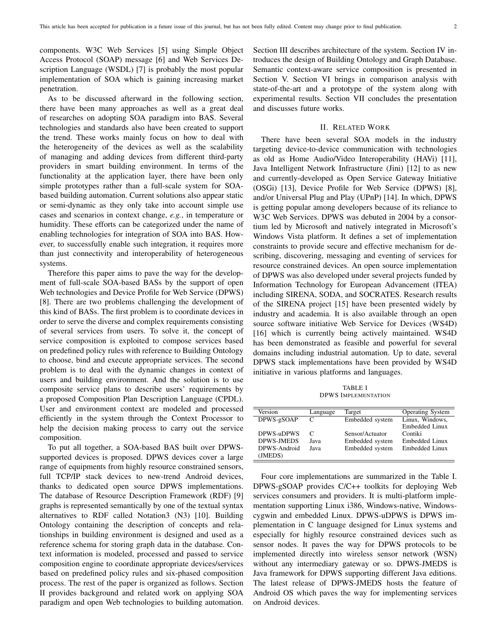components. W3C Web Services [5] using Simple Object Access Protocol (SOAP) message [6] and Web Services Description Language (WSDL) [7] is probably the most popular implementation of SOA which is gaining increasing market penetration.

As to be discussed afterward in the following section, there have been many approaches as well as a great deal of researches on adopting SOA paradigm into BAS. Several technologies and standards also have been created to support the trend. These works mainly focus on how to deal with the heterogeneity of the devices as well as the scalability of managing and adding devices from different third-party providers in smart building environment. In terms of the functionality at the application layer, there have been only simple prototypes rather than a full-scale system for SOAbased building automation. Current solutions also appear static or semi-dynamic as they only take into account simple use cases and scenarios in context change, *e.g.*, in temperature or humidity. These efforts can be categorized under the name of enabling technologies for integration of SOA into BAS. However, to successfully enable such integration, it requires more than just connectivity and interoperability of heterogeneous systems.

Therefore this paper aims to pave the way for the development of full-scale SOA-based BASs by the support of open Web technologies and Device Profile for Web Service (DPWS) [8]. There are two problems challenging the development of this kind of BASs. The first problem is to coordinate devices in order to serve the diverse and complex requirements consisting of several services from users. To solve it, the concept of service composition is exploited to compose services based on predefined policy rules with reference to Building Ontology to choose, bind and execute appropriate services. The second problem is to deal with the dynamic changes in context of users and building environment. And the solution is to use composite service plans to describe users' requirements by a proposed Composition Plan Description Language (CPDL). User and environment context are modeled and processed efficiently in the system through the Context Processor to help the decision making process to carry out the service composition.

To put all together, a SOA-based BAS built over DPWSsupported devices is proposed. DPWS devices cover a large range of equipments from highly resource constrained sensors, full TCP/IP stack devices to new-trend Android devices, thanks to dedicated open source DPWS implementations. The database of Resource Description Framework (RDF) [9] graphs is represented semantically by one of the textual syntax alternatives to RDF called Notation3 (N3) [10]. Building Ontology containing the description of concepts and relationships in building environment is designed and used as a reference schema for storing graph data in the database. Context information is modeled, processed and passed to service composition engine to coordinate appropriate devices/services based on predefined policy rules and six-phased composition process. The rest of the paper is organized as follows. Section II provides background and related work on applying SOA paradigm and open Web technologies to building automation.

Section III describes architecture of the system. Section IV introduces the design of Building Ontology and Graph Database. Semantic context-aware service composition is presented in Section V. Section VI brings in comparison analysis with state-of-the-art and a prototype of the system along with experimental results. Section VII concludes the presentation and discusses future works.

## II. RELATED WORK

There have been several SOA models in the industry targeting device-to-device communication with technologies as old as Home Audio/Video Interoperability (HAVi) [11], Java Intelligent Network Infrastructure (Jini) [12] to as new and currently-developed as Open Service Gateway Initiative (OSGi) [13], Device Profile for Web Service (DPWS) [8], and/or Universal Plug and Play (UPnP) [14]. In which, DPWS is getting popular among developers because of its reliance to W3C Web Services. DPWS was debuted in 2004 by a consortium led by Microsoft and natively integrated in Microsoft's Windows Vista platform. It defines a set of implementation constraints to provide secure and effective mechanism for describing, discovering, messaging and eventing of services for resource constrained devices. An open source implementation of DPWS was also developed under several projects funded by Information Technology for European Advancement (ITEA) including SIRENA, SODA, and SOCRATES. Research results of the SIRENA project [15] have been presented widely by industry and academia. It is also available through an open source software initiative Web Service for Devices (WS4D) [16] which is currently being actively maintained. WS4D has been demonstrated as feasible and powerful for several domains including industrial automation. Up to date, several DPWS stack implementations have been provided by WS4D initiative in various platforms and languages.

TABLE I DPWS IMPLEMENTATION

| Version           | Language | Target          | <b>Operating System</b> |
|-------------------|----------|-----------------|-------------------------|
| DPWS-gSOAP        | C        | Embedded system | Linux, Windows,         |
|                   |          |                 | Embedded Linux          |
| DPWS-uDPWS        | C        | Sensor/Actuator | Contiki                 |
| <b>DPWS-IMEDS</b> | Java     | Embedded system | Embedded Linux          |
| DPWS-Android      | Java     | Embedded system | Embedded Linux          |
| (JMEDS)           |          |                 |                         |
|                   |          |                 |                         |

Four core implementations are summarized in the Table I. DPWS-gSOAP provides C/C++ toolkits for deploying Web services consumers and providers. It is multi-platform implementation supporting Linux i386, Windows-native, Windowscygwin and embedded Linux. DPWS-uDPWS is DPWS implementation in C language designed for Linux systems and especially for highly resource constrained devices such as sensor nodes. It paves the way for DPWS protocols to be implemented directly into wireless sensor network (WSN) without any intermediary gateway or so. DPWS-JMEDS is Java framework for DPWS supporting different Java editions. The latest release of DPWS-JMEDS hosts the feature of Android OS which paves the way for implementing services on Android devices.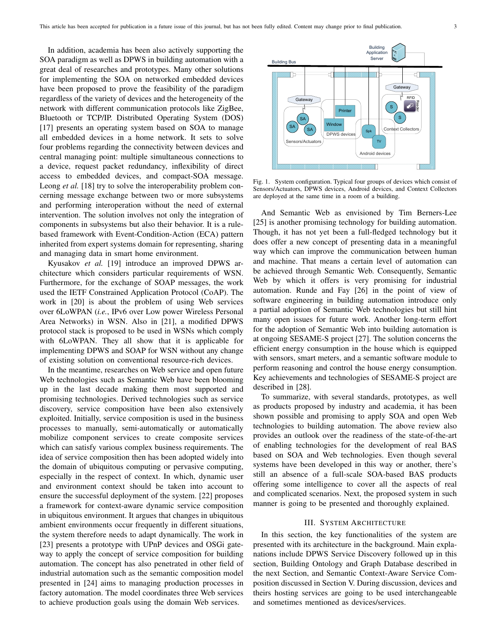In addition, academia has been also actively supporting the SOA paradigm as well as DPWS in building automation with a great deal of researches and prototypes. Many other solutions for implementing the SOA on networked embedded devices have been proposed to prove the feasibility of the paradigm regardless of the variety of devices and the heterogeneity of the network with different communication protocols like ZigBee, Bluetooth or TCP/IP. Distributed Operating System (DOS) [17] presents an operating system based on SOA to manage all embedded devices in a home network. It sets to solve four problems regarding the connectivity between devices and central managing point: multiple simultaneous connections to a device, request packet redundancy, inflexibility of direct access to embedded devices, and compact-SOA message. Leong *et al.* [18] try to solve the interoperability problem concerning message exchange between two or more subsystems and performing interoperation without the need of external intervention. The solution involves not only the integration of components in subsystems but also their behavior. It is a rulebased framework with Event-Condition-Action (ECA) pattern inherited from expert systems domain for representing, sharing and managing data in smart home environment.

Kyusakov *et al.* [19] introduce an improved DPWS architecture which considers particular requirements of WSN. Furthermore, for the exchange of SOAP messages, the work used the IETF Constrained Application Protocol (CoAP). The work in [20] is about the problem of using Web services over 6LoWPAN (*i.e.*, IPv6 over Low power Wireless Personal Area Networks) in WSN. Also in [21], a modified DPWS protocol stack is proposed to be used in WSNs which comply with 6LoWPAN. They all show that it is applicable for implementing DPWS and SOAP for WSN without any change of existing solution on conventional resource-rich devices.

In the meantime, researches on Web service and open future Web technologies such as Semantic Web have been blooming up in the last decade making them most supported and promising technologies. Derived technologies such as service discovery, service composition have been also extensively exploited. Initially, service composition is used in the business processes to manually, semi-automatically or automatically mobilize component services to create composite services which can satisfy various complex business requirements. The idea of service composition then has been adopted widely into the domain of ubiquitous computing or pervasive computing, especially in the respect of context. In which, dynamic user and environment context should be taken into account to ensure the successful deployment of the system. [22] proposes a framework for context-aware dynamic service composition in ubiquitous environment. It argues that changes in ubiquitous ambient environments occur frequently in different situations, the system therefore needs to adapt dynamically. The work in [23] presents a prototype with UPnP devices and OSGi gateway to apply the concept of service composition for building automation. The concept has also penetrated in other field of industrial automation such as the semantic composition model presented in [24] aims to managing production processes in factory automation. The model coordinates three Web services to achieve production goals using the domain Web services.



Fig. 1. System configuration. Typical four groups of devices which consist of Sensors/Actuators, DPWS devices, Android devices, and Context Collectors are deployed at the same time in a room of a building.

And Semantic Web as envisioned by Tim Berners-Lee [25] is another promising technology for building automation. Though, it has not yet been a full-fledged technology but it does offer a new concept of presenting data in a meaningful way which can improve the communication between human and machine. That means a certain level of automation can be achieved through Semantic Web. Consequently, Semantic Web by which it offers is very promising for industrial automation. Runde and Fay [26] in the point of view of software engineering in building automation introduce only a partial adoption of Semantic Web technologies but still hint many open issues for future work. Another long-term effort for the adoption of Semantic Web into building automation is at ongoing SESAME-S project [27]. The solution concerns the efficient energy consumption in the house which is equipped with sensors, smart meters, and a semantic software module to perform reasoning and control the house energy consumption. Key achievements and technologies of SESAME-S project are described in [28].

To summarize, with several standards, prototypes, as well as products proposed by industry and academia, it has been shown possible and promising to apply SOA and open Web technologies to building automation. The above review also provides an outlook over the readiness of the state-of-the-art of enabling technologies for the development of real BAS based on SOA and Web technologies. Even though several systems have been developed in this way or another, there's still an absence of a full-scale SOA-based BAS products offering some intelligence to cover all the aspects of real and complicated scenarios. Next, the proposed system in such manner is going to be presented and thoroughly explained.

## III. SYSTEM ARCHITECTURE

In this section, the key functionalities of the system are presented with its architecture in the background. Main explanations include DPWS Service Discovery followed up in this section, Building Ontology and Graph Database described in the next Section, and Semantic Context-Aware Service Composition discussed in Section V. During discussion, devices and theirs hosting services are going to be used interchangeable and sometimes mentioned as devices/services.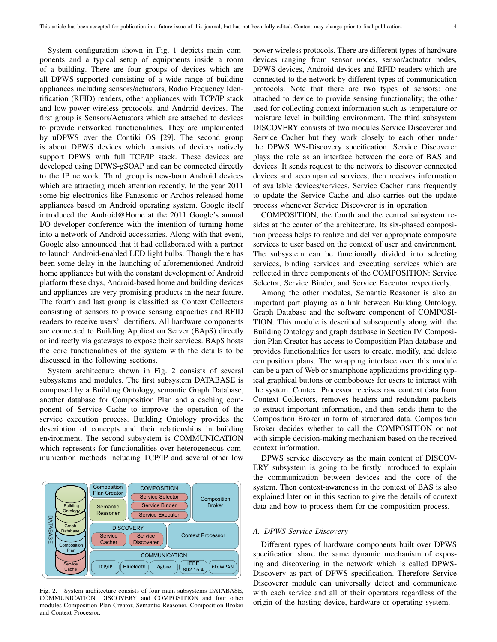System configuration shown in Fig. 1 depicts main components and a typical setup of equipments inside a room of a building. There are four groups of devices which are all DPWS-supported consisting of a wide range of building appliances including sensors/actuators, Radio Frequency Identification (RFID) readers, other appliances with TCP/IP stack and low power wireless protocols, and Android devices. The first group is Sensors/Actuators which are attached to devices to provide networked functionalities. They are implemented by uDPWS over the Contiki OS [29]. The second group is about DPWS devices which consists of devices natively support DPWS with full TCP/IP stack. These devices are developed using DPWS-gSOAP and can be connected directly to the IP network. Third group is new-born Android devices which are attracting much attention recently. In the year 2011 some big electronics like Panasonic or Archos released home appliances based on Android operating system. Google itself introduced the Android@Home at the 2011 Google's annual I/O developer conference with the intention of turning home into a network of Android accessories. Along with that event, Google also announced that it had collaborated with a partner to launch Android-enabled LED light bulbs. Though there has been some delay in the launching of aforementioned Android home appliances but with the constant development of Android platform these days, Android-based home and building devices and appliances are very promising products in the near future. The fourth and last group is classified as Context Collectors consisting of sensors to provide sensing capacities and RFID readers to receive users' identifiers. All hardware components are connected to Building Application Server (BApS) directly or indirectly via gateways to expose their services. BApS hosts the core functionalities of the system with the details to be discussed in the following sections.

System architecture shown in Fig. 2 consists of several subsystems and modules. The first subsystem DATABASE is composed by a Building Ontology, semantic Graph Database, another database for Composition Plan and a caching component of Service Cache to improve the operation of the service execution process. Building Ontology provides the description of concepts and their relationships in building environment. The second subsystem is COMMUNICATION which represents for functionalities over heterogeneous communication methods including TCP/IP and several other low



Fig. 2. System architecture consists of four main subsystems DATABASE, COMMUNICATION, DISCOVERY and COMPOSITION and four other modules Composition Plan Creator, Semantic Reasoner, Composition Broker and Context Processor.

power wireless protocols. There are different types of hardware devices ranging from sensor nodes, sensor/actuator nodes, DPWS devices, Android devices and RFID readers which are connected to the network by different types of communication protocols. Note that there are two types of sensors: one attached to device to provide sensing functionality; the other used for collecting context information such as temperature or moisture level in building environment. The third subsystem DISCOVERY consists of two modules Service Discoverer and Service Cacher but they work closely to each other under the DPWS WS-Discovery specification. Service Discoverer plays the role as an interface between the core of BAS and devices. It sends request to the network to discover connected devices and accompanied services, then receives information of available devices/services. Service Cacher runs frequently to update the Service Cache and also carries out the update process whenever Service Discoverer is in operation.

COMPOSITION, the fourth and the central subsystem resides at the center of the architecture. Its six-phased composition process helps to realize and deliver appropriate composite services to user based on the context of user and environment. The subsystem can be functionally divided into selecting services, binding services and executing services which are reflected in three components of the COMPOSITION: Service Selector, Service Binder, and Service Executor respectively.

Among the other modules, Semantic Reasoner is also an important part playing as a link between Building Ontology, Graph Database and the software component of COMPOSI-TION. This module is described subsequently along with the Building Ontology and graph database in Section IV. Composition Plan Creator has access to Composition Plan database and provides functionalities for users to create, modify, and delete composition plans. The wrapping interface over this module can be a part of Web or smartphone applications providing typical graphical buttons or comboboxes for users to interact with the system. Context Processor receives raw context data from Context Collectors, removes headers and redundant packets to extract important information, and then sends them to the Composition Broker in form of structured data. Composition Broker decides whether to call the COMPOSITION or not with simple decision-making mechanism based on the received context information.

DPWS service discovery as the main content of DISCOV-ERY subsystem is going to be firstly introduced to explain the communication between devices and the core of the system. Then context-awareness in the context of BAS is also explained later on in this section to give the details of context data and how to process them for the composition process.

## *A. DPWS Service Discovery*

Different types of hardware components built over DPWS specification share the same dynamic mechanism of exposing and discovering in the network which is called DPWS-Discovery as part of DPWS specification. Therefore Service Discoverer module can universally detect and communicate with each service and all of their operators regardless of the origin of the hosting device, hardware or operating system.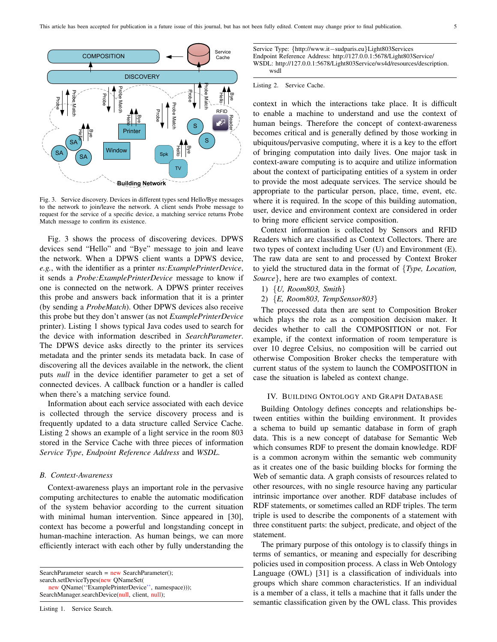

Fig. 3. Service discovery. Devices in different types send Hello/Bye messages to the network to join/leave the network. A client sends Probe message to request for the service of a specific device, a matching service returns Probe Match message to confirm its existence.

Fig. 3 shows the process of discovering devices. DPWS devices send "Hello" and "Bye" message to join and leave the network. When a DPWS client wants a DPWS device, *e.g.*, with the identifier as a printer *ns:ExamplePrinterDevice*, it sends a *Probe:ExamplePrinterDevice* message to know if one is connected on the network. A DPWS printer receives this probe and answers back information that it is a printer (by sending a *ProbeMatch*). Other DPWS devices also receive this probe but they don't answer (as not *ExamplePrinterDevice* printer). Listing 1 shows typical Java codes used to search for the device with information described in *SearchParameter*. The DPWS device asks directly to the printer its services metadata and the printer sends its metadata back. In case of discovering all the devices available in the network, the client puts *null* in the device identifier parameter to get a set of connected devices. A callback function or a handler is called when there's a matching service found.

Information about each service associated with each device is collected through the service discovery process and is frequently updated to a data structure called Service Cache. Listing 2 shows an example of a light service in the room 803 stored in the Service Cache with three pieces of information *Service Type*, *Endpoint Reference Address* and *WSDL*.

## *B. Context-Awareness*

Context-awareness plays an important role in the pervasive computing architectures to enable the automatic modification of the system behavior according to the current situation with minimal human intervention. Since appeared in [30], context has become a powerful and longstanding concept in human-machine interaction. As human beings, we can more efficiently interact with each other by fully understanding the

Service Type: {http://www.it−sudparis.eu}Light803Services Endpoint Reference Address: http://127.0.0.1:5678/Light803Service/ WSDL: http://127.0.0.1:5678/Light803Service/ws4d/resources/description. wsdl

### Listing 2. Service Cache.

context in which the interactions take place. It is difficult to enable a machine to understand and use the context of human beings. Therefore the concept of context-awareness becomes critical and is generally defined by those working in ubiquitous/pervasive computing, where it is a key to the effort of bringing computation into daily lives. One major task in context-aware computing is to acquire and utilize information about the context of participating entities of a system in order to provide the most adequate services. The service should be appropriate to the particular person, place, time, event, etc. where it is required. In the scope of this building automation, user, device and environment context are considered in order to bring more efficient service composition.

Context information is collected by Sensors and RFID Readers which are classified as Context Collectors. There are two types of context including User (U) and Environment (E). The raw data are sent to and processed by Context Broker to yield the structured data in the format of {*Type, Location, Source*}, here are two examples of context.

- 1) {*U, Room803, Smith*}
- 2) {*E, Room803, TempSensor803*}

The processed data then are sent to Composition Broker which plays the role as a composition decision maker. It decides whether to call the COMPOSITION or not. For example, if the context information of room temperature is over 10 degree Celsius, no composition will be carried out otherwise Composition Broker checks the temperature with current status of the system to launch the COMPOSITION in case the situation is labeled as context change.

## IV. BUILDING ONTOLOGY AND GRAPH DATABASE

Building Ontology defines concepts and relationships between entities within the building environment. It provides a schema to build up semantic database in form of graph data. This is a new concept of database for Semantic Web which consumes RDF to present the domain knowledge. RDF is a common acronym within the semantic web community as it creates one of the basic building blocks for forming the Web of semantic data. A graph consists of resources related to other resources, with no single resource having any particular intrinsic importance over another. RDF database includes of RDF statements, or sometimes called an RDF triples. The term triple is used to describe the components of a statement with three constituent parts: the subject, predicate, and object of the statement.

The primary purpose of this ontology is to classify things in terms of semantics, or meaning and especially for describing policies used in composition process. A class in Web Ontology Language (OWL) [31] is a classification of individuals into groups which share common characteristics. If an individual is a member of a class, it tells a machine that it falls under the semantic classification given by the OWL class. This provides

SearchParameter search =  $new$  SearchParameter(); search.setDeviceTypes(new QNameSet( new QName(''ExamplePrinterDevice'', namespace))); SearchManager.searchDevice(null, client, null);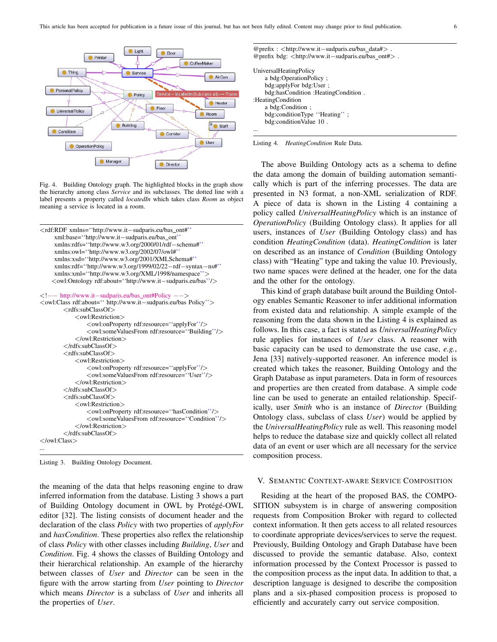

Fig. 4. Building Ontology graph. The highlighted blocks in the graph show the hierarchy among class *Service* and its subclasses. The dotted line with a label presents a property called *locatedIn* which takes class *Room* as object meaning a service is located in a room.

```
<rdf:RDF xmlns=''http://www.it−sudparis.eu/bas ont#''
    xml:base=''http://www.it−sudparis.eu/bas ont''
    xmlns:rdfs=''http://www.w3.org/2000/01/rdf−schema#''
     xmlns:owl=''http://www.w3.org/2002/07/owl#''
    xmlns:xsd=''http://www.w3.org/2001/XMLSchema#''
    xmlns:rdf=''http://www.w3.org/1999/02/22−rdf−syntax−ns#''
    xmlns:xml=''http://www.w3.org/XML/1998/namespace''>
    <owl:Ontology rdf:about=''http://www.it−sudparis.eu/bas''/>
<!−− http://www.it−sudparis.eu/bas ont#Policy −−>
<owl:Class rdf:about='' http://www.it−sudparis.eu/bas Policy''>
        <rdfs:subClassOf>
            <owl:Restriction>
                <owl:onProperty rdf:resource=''applyFor''/>
                <owl:someValuesFrom rdf:resource=''Building''/>
            </owl:Restriction>
        </rdfs:subClassOf>
        <rdfs:subClassOf>
            <owl:Restriction>
                <owl:onProperty rdf:resource=''applyFor''/>
                <owl:someValuesFrom rdf:resource=''User''/>
            </owl:Restriction>
        </rdfs:subClassOf>
        <rdfs:subClassOf>
            <owl:Restriction>
                <owl:onProperty rdf:resource=''hasCondition''/>
                <owl:someValuesFrom rdf:resource=''Condition''/>
            </owl:Restriction>
        </rdfs:subClassOf>
</owl:Class>
...
```
Listing 3. Building Ontology Document.

the meaning of the data that helps reasoning engine to draw inferred information from the database. Listing 3 shows a part of Building Ontology document in OWL by Protégé-OWL editor [32]. The listing consists of document header and the declaration of the class *Policy* with two properties of *applyFor* and *hasCondition*. These properties also reflex the relationship of class *Policy* with other classes including *Building*, *User* and *Condition*. Fig. 4 shows the classes of Building Ontology and their hierarchical relationship. An example of the hierarchy between classes of *User* and *Director* can be seen in the figure with the arrow starting from *User* pointing to *Director* which means *Director* is a subclass of *User* and inherits all the properties of *User*.

| @prefix: $\lt$ http://www.it-sudparis.eu/bas_data# $>$ .<br>@prefix bdg: <http: bas="" ont#="" www.it-sudparis.eu="">.</http:> |
|--------------------------------------------------------------------------------------------------------------------------------|
| UniversalHeatingPolicy                                                                                                         |
| a bdg:OperationPolicy:                                                                                                         |
| bdg:applyFor bdg:User;                                                                                                         |
| bdg:hasCondition: HeatingCondition.                                                                                            |
| :HeatingCondition                                                                                                              |
| a bdg:Condition:                                                                                                               |
| bdg:conditionType "Heating";                                                                                                   |
| bdg:conditionValue 10.                                                                                                         |
|                                                                                                                                |



The above Building Ontology acts as a schema to define the data among the domain of building automation semantically which is part of the inferring processes. The data are presented in N3 format, a non-XML serialization of RDF. A piece of data is shown in the Listing 4 containing a policy called *UniversalHeatingPolicy* which is an instance of *OperationPolicy* (Building Ontology class). It applies for all users, instances of *User* (Building Ontology class) and has condition *HeatingCondition* (data). *HeatingCondition* is later on described as an instance of *Condition* (Building Ontology class) with "Heating" type and taking the value 10. Previously, two name spaces were defined at the header, one for the data and the other for the ontology.

This kind of graph database built around the Building Ontology enables Semantic Reasoner to infer additional information from existed data and relationship. A simple example of the reasoning from the data shown in the Listing 4 is explained as follows. In this case, a fact is stated as *UniversalHeatingPolicy* rule applies for instances of *User* class. A reasoner with basic capacity can be used to demonstrate the use case, *e.g.*, Jena [33] natively-supported reasoner. An inference model is created which takes the reasoner, Building Ontology and the Graph Database as input parameters. Data in form of resources and properties are then created from database. A simple code line can be used to generate an entailed relationship. Specifically, user *Smith* who is an instance of *Director* (Building Ontology class, subclass of class *User*) would be applied by the *UniversalHeatingPolicy* rule as well. This reasoning model helps to reduce the database size and quickly collect all related data of an event or user which are all necessary for the service composition process.

#### V. SEMANTIC CONTEXT-AWARE SERVICE COMPOSITION

Residing at the heart of the proposed BAS, the COMPO-SITION subsystem is in charge of answering composition requests from Composition Broker with regard to collected context information. It then gets access to all related resources to coordinate appropriate devices/services to serve the request. Previously, Building Ontology and Graph Database have been discussed to provide the semantic database. Also, context information processed by the Context Processor is passed to the composition process as the input data. In addition to that, a description language is designed to describe the composition plans and a six-phased composition process is proposed to efficiently and accurately carry out service composition.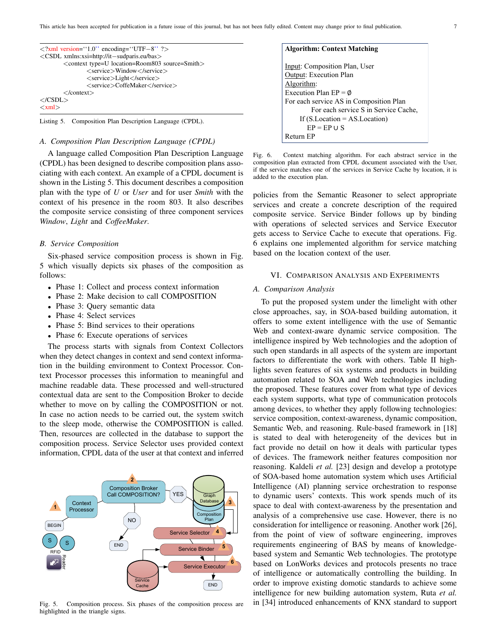| $\langle$ 2xml version="1.0" encoding="UTF-8" ?>                |
|-----------------------------------------------------------------|
| <csdl xmlns:xsi="http://it-sudparis.eu/bas"></csdl>             |
| <context location="Room803" source="Smith" type="U"></context>  |
| $\langle$ service $\rangle$ Window $\langle$ /service $\rangle$ |
| $\langle$ service $\rangle$ Light $\langle$ /service $\rangle$  |
| <service>CoffeMaker</service>                                   |
| $\langle$ /context $\rangle$                                    |
| $\langle$ /CSDL $\rangle$                                       |
| $\langle xml \rangle$                                           |
|                                                                 |

Listing 5. Composition Plan Description Language (CPDL).

## *A. Composition Plan Description Language (CPDL)*

A language called Composition Plan Description Language (CPDL) has been designed to describe composition plans associating with each context. An example of a CPDL document is shown in the Listing 5. This document describes a composition plan with the type of *U* or *User* and for user *Smith* with the context of his presence in the room 803. It also describes the composite service consisting of three component services *Window*, *Light* and *CoffeeMaker*.

#### *B. Service Composition*

Six-phased service composition process is shown in Fig. 5 which visually depicts six phases of the composition as follows:

- Phase 1: Collect and process context information
- Phase 2: Make decision to call COMPOSITION
- Phase 3: Query semantic data
- Phase 4: Select services
- Phase 5: Bind services to their operations
- Phase 6: Execute operations of services

The process starts with signals from Context Collectors when they detect changes in context and send context information in the building environment to Context Processor. Context Processor processes this information to meaningful and machine readable data. These processed and well-structured contextual data are sent to the Composition Broker to decide whether to move on by calling the COMPOSITION or not. In case no action needs to be carried out, the system switch to the sleep mode, otherwise the COMPOSITION is called. Then, resources are collected in the database to support the composition process. Service Selector uses provided context information, CPDL data of the user at that context and inferred



Fig. 5. Composition process. Six phases of the composition process are highlighted in the triangle signs.

| <b>Algorithm: Context Matching</b>      |
|-----------------------------------------|
| Input: Composition Plan, User           |
| <b>Output: Execution Plan</b>           |
| Algorithm:                              |
| Execution Plan $EP = \emptyset$         |
| For each service AS in Composition Plan |
| For each service S in Service Cache,    |
| If $(SLocation = ASLocation)$           |
| $EP = EP \cup S$                        |
| Return FP                               |

Fig. 6. Context matching algorithm. For each abstract service in the composition plan extracted from CPDL document associated with the User, if the service matches one of the services in Service Cache by location, it is added to the execution plan.

policies from the Semantic Reasoner to select appropriate services and create a concrete description of the required composite service. Service Binder follows up by binding with operations of selected services and Service Executor gets access to Service Cache to execute that operations. Fig. 6 explains one implemented algorithm for service matching based on the location context of the user.

## VI. COMPARISON ANALYSIS AND EXPERIMENTS

## *A. Comparison Analysis*

To put the proposed system under the limelight with other close approaches, say, in SOA-based building automation, it offers to some extent intelligence with the use of Semantic Web and context-aware dynamic service composition. The intelligence inspired by Web technologies and the adoption of such open standards in all aspects of the system are important factors to differentiate the work with others. Table II highlights seven features of six systems and products in building automation related to SOA and Web technologies including the proposed. These features cover from what type of devices each system supports, what type of communication protocols among devices, to whether they apply following technologies: service composition, context-awareness, dynamic composition, Semantic Web, and reasoning. Rule-based framework in [18] is stated to deal with heterogeneity of the devices but in fact provide no detail on how it deals with particular types of devices. The framework neither features composition nor reasoning. Kaldeli *et al.* [23] design and develop a prototype of SOA-based home automation system which uses Artificial Intelligence (AI) planning service orchestration to response to dynamic users' contexts. This work spends much of its space to deal with context-awareness by the presentation and analysis of a comprehensive use case. However, there is no consideration for intelligence or reasoning. Another work [26], from the point of view of software engineering, improves requirements engineering of BAS by means of knowledgebased system and Semantic Web technologies. The prototype based on LonWorks devices and protocols presents no trace of intelligence or automatically controlling the building. In order to improve existing domotic standards to achieve some intelligence for new building automation system, Ruta *et al.* in [34] introduced enhancements of KNX standard to support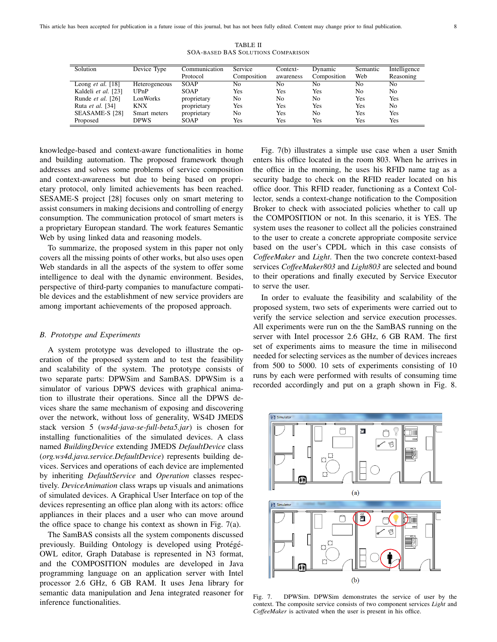TABLE II SOA-BASED BAS SOLUTIONS COMPARISON

| Solution                   | Device Type   | Communication | Service     | Context-  | Dynamic        | Semantic       | Intelligence   |
|----------------------------|---------------|---------------|-------------|-----------|----------------|----------------|----------------|
|                            |               | Protocol      | Composition | awareness | Composition    | Web            | Reasoning      |
| Leong <i>et al.</i> $[18]$ | Heterogeneous | <b>SOAP</b>   | No          | Nο        | No             | No             | No             |
| Kaldeli et al. [23]        | UPnP          | <b>SOAP</b>   | Yes         | Yes       | Yes            | N <sub>0</sub> | No             |
| Runde et al. [26]          | LonWorks      | proprietary   | No          | No        | No             | Yes            | Yes            |
| Ruta et al. [34]           | KNX           | proprietary   | Yes         | Yes       | Yes            | Yes            | N <sub>0</sub> |
| SEASAME-S [28]             | Smart meters  | proprietary   | No          | Yes       | N <sub>0</sub> | Yes            | Yes            |
| Proposed                   | <b>DPWS</b>   | SOAP          | Yes         | Yes       | Yes            | Yes            | Yes            |

knowledge-based and context-aware functionalities in home and building automation. The proposed framework though addresses and solves some problems of service composition and context-awareness but due to being based on proprietary protocol, only limited achievements has been reached. SESAME-S project [28] focuses only on smart metering to assist consumers in making decisions and controlling of energy consumption. The communication protocol of smart meters is a proprietary European standard. The work features Semantic Web by using linked data and reasoning models.

To summarize, the proposed system in this paper not only covers all the missing points of other works, but also uses open Web standards in all the aspects of the system to offer some intelligence to deal with the dynamic environment. Besides, perspective of third-party companies to manufacture compatible devices and the establishment of new service providers are among important achievements of the proposed approach.

## *B. Prototype and Experiments*

A system prototype was developed to illustrate the operation of the proposed system and to test the feasibility and scalability of the system. The prototype consists of two separate parts: DPWSim and SamBAS. DPWSim is a simulator of various DPWS devices with graphical animation to illustrate their operations. Since all the DPWS devices share the same mechanism of exposing and discovering over the network, without loss of generality, WS4D JMEDS stack version 5 (*ws4d-java-se-full-beta5.jar*) is chosen for installing functionalities of the simulated devices. A class named *BuildingDevice* extending JMEDS *DefaultDevice* class (*org.ws4d.java.service.DefaultDevice*) represents building devices. Services and operations of each device are implemented by inheriting *DefaultService* and *Operation* classes respectively. *DeviceAnimation* class wraps up visuals and animations of simulated devices. A Graphical User Interface on top of the devices representing an office plan along with its actors: office appliances in their places and a user who can move around the office space to change his context as shown in Fig.  $7(a)$ .

The SamBAS consists all the system components discussed previously. Building Ontology is developed using Protégé-OWL editor, Graph Database is represented in N3 format, and the COMPOSITION modules are developed in Java programming language on an application server with Intel processor 2.6 GHz, 6 GB RAM. It uses Jena library for semantic data manipulation and Jena integrated reasoner for inference functionalities.

Fig. 7(b) illustrates a simple use case when a user Smith enters his office located in the room 803. When he arrives in the office in the morning, he uses his RFID name tag as a security badge to check on the RFID reader located on his office door. This RFID reader, functioning as a Context Collector, sends a context-change notification to the Composition Broker to check with associated policies whether to call up the COMPOSITION or not. In this scenario, it is YES. The system uses the reasoner to collect all the policies constrained to the user to create a concrete appropriate composite service based on the user's CPDL which in this case consists of *CoffeeMaker* and *Light*. Then the two concrete context-based services *CoffeeMaker803* and *Light803* are selected and bound to their operations and finally executed by Service Executor to serve the user.

In order to evaluate the feasibility and scalability of the proposed system, two sets of experiments were carried out to verify the service selection and service execution processes. All experiments were run on the the SamBAS running on the server with Intel processor 2.6 GHz, 6 GB RAM. The first set of experiments aims to measure the time in milisecond needed for selecting services as the number of devices increaes from 500 to 5000. 10 sets of experiments consisting of 10 runs by each were performed with results of consuming time recorded accordingly and put on a graph shown in Fig. 8.



Fig. 7. DPWSim. DPWSim demonstrates the service of user by the context. The composite service consists of two component services *Light* and *CoffeeMaker* is activated when the user is present in his office.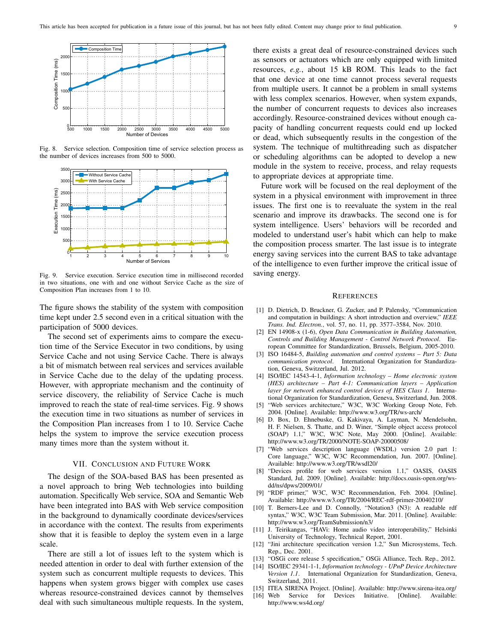

Fig. 8. Service selection. Composition time of service selection process as the number of devices increases from 500 to 5000.



Fig. 9. Service execution. Service execution time in millisecond recorded in two situations, one with and one without Service Cache as the size of Composition Plan increases from 1 to 10.

The figure shows the stability of the system with composition time kept under 2.5 second even in a critical situation with the participation of 5000 devices.

The second set of experiments aims to compare the execution time of the Service Executor in two conditions, by using Service Cache and not using Service Cache. There is always a bit of mismatch between real services and services available in Service Cache due to the delay of the updating process. However, with appropriate mechanism and the continuity of service discovery, the reliability of Service Cache is much improved to reach the state of real-time services. Fig. 9 shows the execution time in two situations as number of services in the Composition Plan increases from 1 to 10. Service Cache helps the system to improve the service execution process many times more than the system without it.

## VII. CONCLUSION AND FUTURE WORK

The design of the SOA-based BAS has been presented as a novel approach to bring Web technologies into building automation. Specifically Web service, SOA and Semantic Web have been integrated into BAS with Web service composition in the background to dynamically coordinate devices/services in accordance with the context. The results from experiments show that it is feasible to deploy the system even in a large scale.

There are still a lot of issues left to the system which is needed attention in order to deal with further extension of the system such as concurrent multiple requests to devices. This happens when system grows bigger with complex use cases whereas resource-constrained devices cannot by themselves deal with such simultaneous multiple requests. In the system, there exists a great deal of resource-constrained devices such as sensors or actuators which are only equipped with limited resources, *e.g.*, about 15 kB ROM. This leads to the fact that one device at one time cannot process several requests from multiple users. It cannot be a problem in small systems with less complex scenarios. However, when system expands, the number of concurrent requests to devices also increases accordingly. Resource-constrained devices without enough capacity of handling concurrent requests could end up locked or dead, which subsequently results in the congestion of the system. The technique of multithreading such as dispatcher or scheduling algorithms can be adopted to develop a new module in the system to receive, process, and relay requests to appropriate devices at appropriate time.

Future work will be focused on the real deployment of the system in a physical environment with improvement in three issues. The first one is to reevaluate the system in the real scenario and improve its drawbacks. The second one is for system intelligence. Users' behaviors will be recorded and modeled to understand user's habit which can help to make the composition process smarter. The last issue is to integrate energy saving services into the current BAS to take advantage of the intelligence to even further improve the critical issue of saving energy.

#### **REFERENCES**

- [1] D. Dietrich, D. Bruckner, G. Zucker, and P. Palensky, "Communication and computation in buildings: A short introduction and overview," *IEEE Trans. Ind. Electron.*, vol. 57, no. 11, pp. 3577–3584, Nov. 2010.
- [2] EN 14908-x (1-6), *Open Data Communication in Building Automation, Controls and Building Management - Control Network Protocol*. European Committee for Standardization, Brussels, Belgium, 2005-2010.
- [3] ISO 16484-5, *Building automation and control systems Part 5: Data communication protocol*. International Organization for Standardization, Geneva, Switzerland, Jul. 2012.
- [4] ISO/IEC 14543-4-1, *Information technology Home electronic system (HES) architecture – Part 4-1: Communication layers – Application layer for network enhanced control devices of HES Class 1*. International Organization for Standardization, Geneva, Switzerland, Jun. 2008.
- [5] "Web services architecture," W3C, W3C Working Group Note, Feb. 2004. [Online]. Available: http://www.w3.org/TR/ws-arch/
- [6] D. Box, D. Ehnebuske, G. Kakivaya, A. Layman, N. Mendelsohn, H. F. Nielsen, S. Thatte, and D. Winer, "Simple object access protocol (SOAP) 1.1," W3C, W3C Note, May 2000. [Online]. Available: http://www.w3.org/TR/2000/NOTE-SOAP-20000508/
- [7] "Web services description language (WSDL) version 2.0 part 1: Core language," W3C, W3C Recommendation, Jun. 2007. [Online]. Available: http://www.w3.org/TR/wsdl20/
- [8] "Devices profile for web services version 1.1," OASIS, OASIS Standard, Jul. 2009. [Online]. Available: http://docs.oasis-open.org/wsdd/ns/dpws/2009/01/
- [9] "RDF primer," W3C, W3C Recommendation, Feb. 2004. [Online]. Available: http://www.w3.org/TR/2004/REC-rdf-primer-20040210/
- [10] T. Berners-Lee and D. Connolly, "Notation3 (N3): A readable rdf syntax," W3C, W3C Team Submission, Mar. 2011. [Online]. Available: http://www.w3.org/TeamSubmission/n3/
- [11] J. Teirikangas, "HAVi: Home audio video interoperability," Helsinki University of Technology, Technical Report, 2001.
- [12] "Jini architecture specification version 1.2," Sun Microsystems, Tech. Rep., Dec. 2001.
- [13] "OSGi core release 5 specification," OSGi Alliance, Tech. Rep., 2012.
- [14] ISO/IEC 29341-1-1, *Information technology UPnP Device Architecture Version 1.1*. International Organization for Standardization, Geneva, Switzerland, 2011.
- [15] ITEA SIRENA Project. [Online]. Available: http://www.sirena-itea.org/
- [16] Web Service for Devices Initiative. [Online]. Available: http://www.ws4d.org/